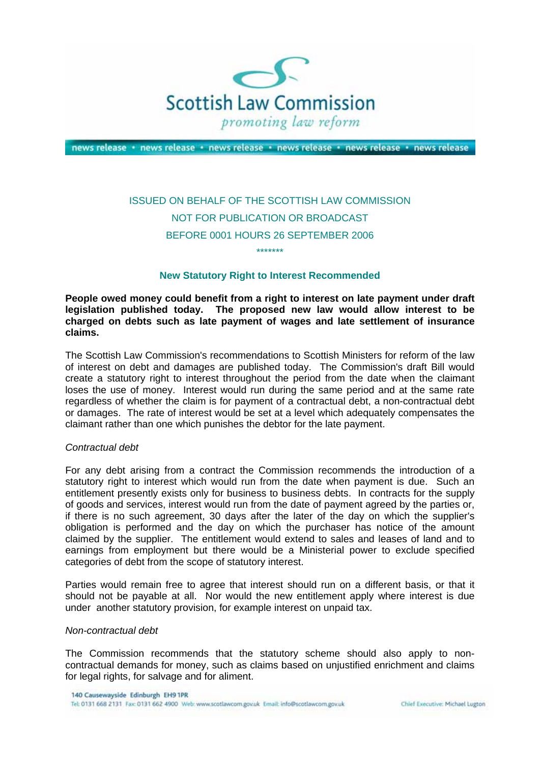

news release · news release · news release · news release · news release · news release

# ISSUED ON BEHALF OF THE SCOTTISH LAW COMMISSION NOT FOR PUBLICATION OR BROADCAST BEFORE 0001 HOURS 26 SEPTEMBER 2006 \*\*\*\*\*\*\*

# **New Statutory Right to Interest Recommended**

**People owed money could benefit from a right to interest on late payment under draft legislation published today. The proposed new law would allow interest to be charged on debts such as late payment of wages and late settlement of insurance claims.** 

The Scottish Law Commission's recommendations to Scottish Ministers for reform of the law of interest on debt and damages are published today. The Commission's draft Bill would create a statutory right to interest throughout the period from the date when the claimant loses the use of money. Interest would run during the same period and at the same rate regardless of whether the claim is for payment of a contractual debt, a non-contractual debt or damages. The rate of interest would be set at a level which adequately compensates the claimant rather than one which punishes the debtor for the late payment.

# *Contractual debt*

For any debt arising from a contract the Commission recommends the introduction of a statutory right to interest which would run from the date when payment is due. Such an entitlement presently exists only for business to business debts. In contracts for the supply of goods and services, interest would run from the date of payment agreed by the parties or, if there is no such agreement, 30 days after the later of the day on which the supplier's obligation is performed and the day on which the purchaser has notice of the amount claimed by the supplier. The entitlement would extend to sales and leases of land and to earnings from employment but there would be a Ministerial power to exclude specified categories of debt from the scope of statutory interest.

Parties would remain free to agree that interest should run on a different basis, or that it should not be payable at all. Nor would the new entitlement apply where interest is due under another statutory provision, for example interest on unpaid tax.

#### *Non-contractual debt*

The Commission recommends that the statutory scheme should also apply to noncontractual demands for money, such as claims based on unjustified enrichment and claims for legal rights, for salvage and for aliment.

Chief Executive: Michael Lugton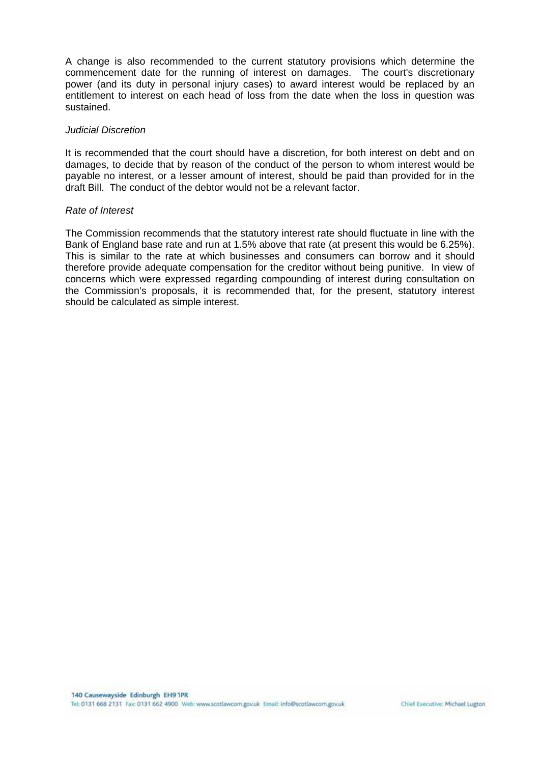A change is also recommended to the current statutory provisions which determine the commencement date for the running of interest on damages. The court's discretionary power (and its duty in personal injury cases) to award interest would be replaced by an entitlement to interest on each head of loss from the date when the loss in question was sustained.

#### *Judicial Discretion*

It is recommended that the court should have a discretion, for both interest on debt and on damages, to decide that by reason of the conduct of the person to whom interest would be payable no interest, or a lesser amount of interest, should be paid than provided for in the draft Bill. The conduct of the debtor would not be a relevant factor.

#### *Rate of Interest*

The Commission recommends that the statutory interest rate should fluctuate in line with the Bank of England base rate and run at 1.5% above that rate (at present this would be 6.25%). This is similar to the rate at which businesses and consumers can borrow and it should therefore provide adequate compensation for the creditor without being punitive. In view of concerns which were expressed regarding compounding of interest during consultation on the Commission's proposals, it is recommended that, for the present, statutory interest should be calculated as simple interest.